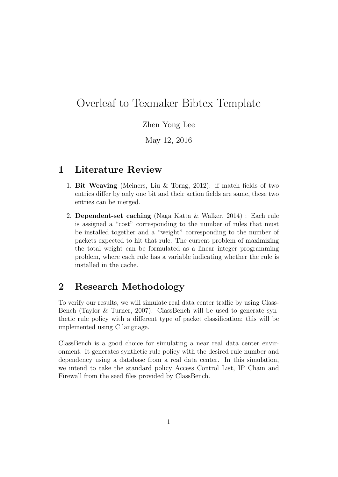## Overleaf to Texmaker Bibtex Template

Zhen Yong Lee

May 12, 2016

## 1 Literature Review

- 1. Bit Weaving (Meiners, Liu & Torng, 2012): if match fields of two entries differ by only one bit and their action fields are same, these two entries can be merged.
- 2. Dependent-set caching (Naga Katta & Walker, 2014) : Each rule is assigned a "cost" corresponding to the number of rules that must be installed together and a "weight" corresponding to the number of packets expected to hit that rule. The current problem of maximizing the total weight can be formulated as a linear integer programming problem, where each rule has a variable indicating whether the rule is installed in the cache.

## 2 Research Methodology

To verify our results, we will simulate real data center traffic by using Class-Bench (Taylor & Turner, 2007). ClassBench will be used to generate synthetic rule policy with a different type of packet classification; this will be implemented using C language.

ClassBench is a good choice for simulating a near real data center environment. It generates synthetic rule policy with the desired rule number and dependency using a database from a real data center. In this simulation, we intend to take the standard policy Access Control List, IP Chain and Firewall from the seed files provided by ClassBench.